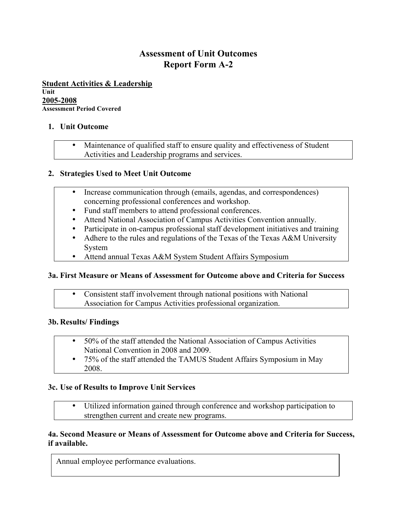# **Assessment of Unit Outcomes Report Form A-2**

**Student Activities & Leadership**

**Unit 2005-2008**

**Assessment Period Covered**

#### **1. Unit Outcome**

• Maintenance of qualified staff to ensure quality and effectiveness of Student Activities and Leadership programs and services.

# **2. Strategies Used to Meet Unit Outcome**

- Increase communication through (emails, agendas, and correspondences) concerning professional conferences and workshop.
- Fund staff members to attend professional conferences.
- Attend National Association of Campus Activities Convention annually.
- Participate in on-campus professional staff development initiatives and training
- Adhere to the rules and regulations of the Texas of the Texas A&M University System
- Attend annual Texas A&M System Student Affairs Symposium

# **3a. First Measure or Means of Assessment for Outcome above and Criteria for Success**

• Consistent staff involvement through national positions with National Association for Campus Activities professional organization.

# **3b. Results/ Findings**

- 50% of the staff attended the National Association of Campus Activities National Convention in 2008 and 2009.
- 75% of the staff attended the TAMUS Student Affairs Symposium in May 2008.

# **3c. Use of Results to Improve Unit Services**

• Utilized information gained through conference and workshop participation to strengthen current and create new programs.

#### **4a. Second Measure or Means of Assessment for Outcome above and Criteria for Success, if available.**

Annual employee performance evaluations.